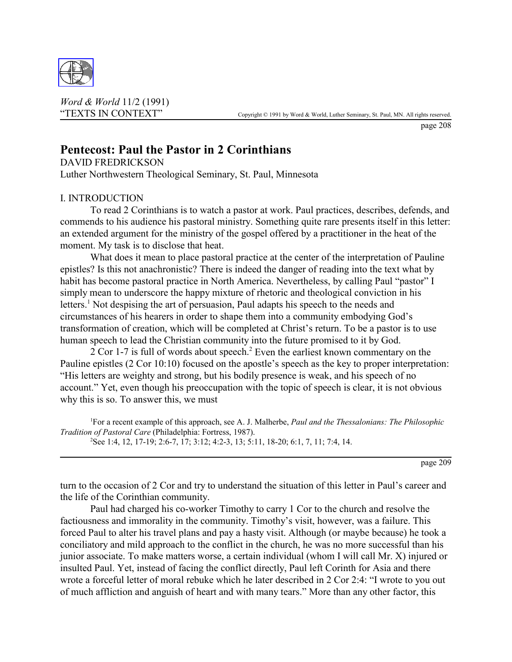

*Word & World* 11/2 (1991)

page 208

# **Pentecost: Paul the Pastor in 2 Corinthians**

DAVID FREDRICKSON Luther Northwestern Theological Seminary, St. Paul, Minnesota

## I. INTRODUCTION

To read 2 Corinthians is to watch a pastor at work. Paul practices, describes, defends, and commends to his audience his pastoral ministry. Something quite rare presents itself in this letter: an extended argument for the ministry of the gospel offered by a practitioner in the heat of the moment. My task is to disclose that heat.

What does it mean to place pastoral practice at the center of the interpretation of Pauline epistles? Is this not anachronistic? There is indeed the danger of reading into the text what by habit has become pastoral practice in North America. Nevertheless, by calling Paul "pastor" I simply mean to underscore the happy mixture of rhetoric and theological conviction in his letters.<sup>1</sup> Not despising the art of persuasion, Paul adapts his speech to the needs and circumstances of his hearers in order to shape them into a community embodying God's transformation of creation, which will be completed at Christ's return. To be a pastor is to use human speech to lead the Christian community into the future promised to it by God.

2 Cor 1-7 is full of words about speech.<sup>2</sup> Even the earliest known commentary on the Pauline epistles (2 Cor 10:10) focused on the apostle's speech as the key to proper interpretation: "His letters are weighty and strong, but his bodily presence is weak, and his speech of no account." Yet, even though his preoccupation with the topic of speech is clear, it is not obvious why this is so. To answer this, we must

1 For a recent example of this approach, see A. J. Malherbe, *Paul and the Thessalonians: The Philosophic Tradition of Pastoral Care* (Philadelphia: Fortress, 1987). 2 See 1:4, 12, 17-19; 2:6-7, 17; 3:12; 4:2-3, 13; 5:11, 18-20; 6:1, 7, 11; 7:4, 14.

page 209

turn to the occasion of 2 Cor and try to understand the situation of this letter in Paul's career and the life of the Corinthian community.

Paul had charged his co-worker Timothy to carry 1 Cor to the church and resolve the factiousness and immorality in the community. Timothy's visit, however, was a failure. This forced Paul to alter his travel plans and pay a hasty visit. Although (or maybe because) he took a conciliatory and mild approach to the conflict in the church, he was no more successful than his junior associate. To make matters worse, a certain individual (whom I will call Mr. X) injured or insulted Paul. Yet, instead of facing the conflict directly, Paul left Corinth for Asia and there wrote a forceful letter of moral rebuke which he later described in 2 Cor 2:4: "I wrote to you out of much affliction and anguish of heart and with many tears." More than any other factor, this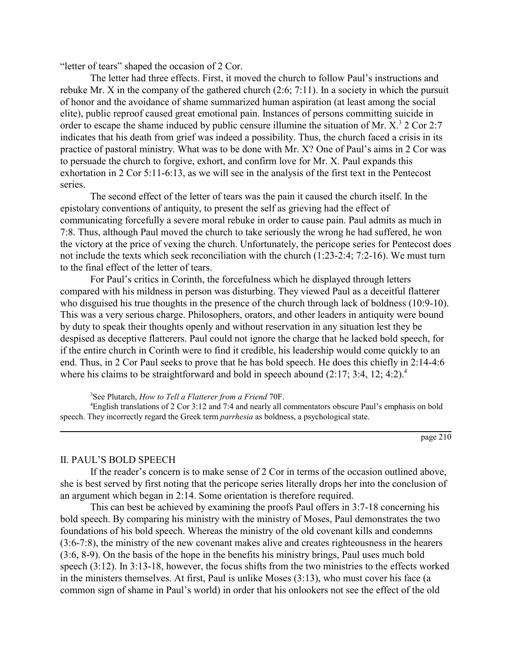"letter of tears" shaped the occasion of 2 Cor.

The letter had three effects. First, it moved the church to follow Paul's instructions and rebuke Mr. X in the company of the gathered church (2:6; 7:11). In a society in which the pursuit of honor and the avoidance of shame summarized human aspiration (at least among the social elite), public reproof caused great emotional pain. Instances of persons committing suicide in order to escape the shame induced by public censure illumine the situation of Mr.  $X^3$  2 Cor 2:7 indicates that his death from grief was indeed a possibility. Thus, the church faced a crisis in its practice of pastoral ministry. What was to be done with Mr. X? One of Paul's aims in 2 Cor was to persuade the church to forgive, exhort, and confirm love for Mr. X. Paul expands this exhortation in 2 Cor 5:11-6:13, as we will see in the analysis of the first text in the Pentecost series.

The second effect of the letter of tears was the pain it caused the church itself. In the epistolary conventions of antiquity, to present the self as grieving had the effect of communicating forcefully a severe moral rebuke in order to cause pain. Paul admits as much in 7:8. Thus, although Paul moved the church to take seriously the wrong he had suffered, he won the victory at the price of vexing the church. Unfortunately, the pericope series for Pentecost does not include the texts which seek reconciliation with the church (1:23-2:4; 7:2-16). We must turn to the final effect of the letter of tears.

For Paul's critics in Corinth, the forcefulness which he displayed through letters compared with his mildness in person was disturbing. They viewed Paul as a deceitful flatterer who disguised his true thoughts in the presence of the church through lack of boldness (10:9-10). This was a very serious charge. Philosophers, orators, and other leaders in antiquity were bound by duty to speak their thoughts openly and without reservation in any situation lest they be despised as deceptive flatterers. Paul could not ignore the charge that he lacked bold speech, for if the entire church in Corinth were to find it credible, his leadership would come quickly to an end. Thus, in 2 Cor Paul seeks to prove that he has bold speech. He does this chiefly in 2:14-4:6 where his claims to be straightforward and bold in speech abound  $(2:17; 3:4, 12; 4:2)^4$ .

3 See Plutarch, *How to Tell a Flatterer from a Friend* 70F.

4 English translations of 2 Cor 3:12 and 7:4 and nearly all commentators obscure Paul's emphasis on bold speech. They incorrectly regard the Greek term *parrhesia* as boldness, a psychological state.

page 210

#### II. PAUL'S BOLD SPEECH

If the reader's concern is to make sense of 2 Cor in terms of the occasion outlined above, she is best served by first noting that the pericope series literally drops her into the conclusion of an argument which began in 2:14. Some orientation is therefore required.

This can best be achieved by examining the proofs Paul offers in 3:7-18 concerning his bold speech. By comparing his ministry with the ministry of Moses, Paul demonstrates the two foundations of his bold speech. Whereas the ministry of the old covenant kills and condemns (3:6-7:8), the ministry of the new covenant makes alive and creates righteousness in the hearers (3:6, 8-9). On the basis of the hope in the benefits his ministry brings, Paul uses much bold speech (3:12). In 3:13-18, however, the focus shifts from the two ministries to the effects worked in the ministers themselves. At first, Paul is unlike Moses (3:13), who must cover his face (a common sign of shame in Paul's world) in order that his onlookers not see the effect of the old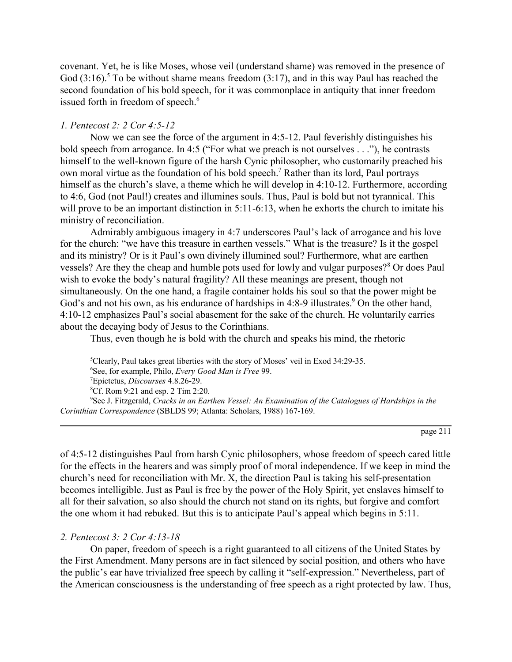covenant. Yet, he is like Moses, whose veil (understand shame) was removed in the presence of God  $(3:16)$ .<sup>5</sup> To be without shame means freedom  $(3:17)$ , and in this way Paul has reached the second foundation of his bold speech, for it was commonplace in antiquity that inner freedom issued forth in freedom of speech.<sup>6</sup>

## *1. Pentecost 2: 2 Cor 4:5-12*

Now we can see the force of the argument in 4:5-12. Paul feverishly distinguishes his bold speech from arrogance. In 4:5 ("For what we preach is not ourselves . . ."), he contrasts himself to the well-known figure of the harsh Cynic philosopher, who customarily preached his own moral virtue as the foundation of his bold speech.<sup>7</sup> Rather than its lord, Paul portrays himself as the church's slave, a theme which he will develop in 4:10-12. Furthermore, according to 4:6, God (not Paul!) creates and illumines souls. Thus, Paul is bold but not tyrannical. This will prove to be an important distinction in 5:11-6:13, when he exhorts the church to imitate his ministry of reconciliation.

Admirably ambiguous imagery in 4:7 underscores Paul's lack of arrogance and his love for the church: "we have this treasure in earthen vessels." What is the treasure? Is it the gospel and its ministry? Or is it Paul's own divinely illumined soul? Furthermore, what are earthen vessels? Are they the cheap and humble pots used for lowly and vulgar purposes?<sup>8</sup> Or does Paul wish to evoke the body's natural fragility? All these meanings are present, though not simultaneously. On the one hand, a fragile container holds his soul so that the power might be God's and not his own, as his endurance of hardships in 4:8-9 illustrates.<sup>9</sup> On the other hand, 4:10-12 emphasizes Paul's social abasement for the sake of the church. He voluntarily carries about the decaying body of Jesus to the Corinthians.

Thus, even though he is bold with the church and speaks his mind, the rhetoric

 Clearly, Paul takes great liberties with the story of Moses' veil in Exod 34:29-35. See, for example, Philo, *Every Good Man is Free* 99. Epictetus, *Discourses* 4.8.26-29. Cf. Rom 9:21 and esp. 2 Tim 2:20. See J. Fitzgerald, *Cracks in an Earthen Vessel: An Examination of the Catalogues of Hardships in the Corinthian Correspondence* (SBLDS 99; Atlanta: Scholars, 1988) 167-169.

page 211

of 4:5-12 distinguishes Paul from harsh Cynic philosophers, whose freedom of speech cared little for the effects in the hearers and was simply proof of moral independence. If we keep in mind the church's need for reconciliation with Mr. X, the direction Paul is taking his self-presentation becomes intelligible. Just as Paul is free by the power of the Holy Spirit, yet enslaves himself to all for their salvation, so also should the church not stand on its rights, but forgive and comfort the one whom it had rebuked. But this is to anticipate Paul's appeal which begins in 5:11.

## *2. Pentecost 3: 2 Cor 4:13-18*

On paper, freedom of speech is a right guaranteed to all citizens of the United States by the First Amendment. Many persons are in fact silenced by social position, and others who have the public's ear have trivialized free speech by calling it "self-expression." Nevertheless, part of the American consciousness is the understanding of free speech as a right protected by law. Thus,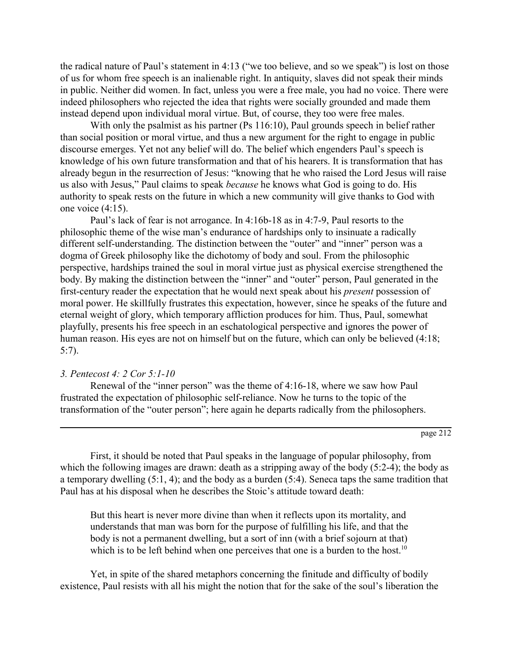the radical nature of Paul's statement in 4:13 ("we too believe, and so we speak") is lost on those of us for whom free speech is an inalienable right. In antiquity, slaves did not speak their minds in public. Neither did women. In fact, unless you were a free male, you had no voice. There were indeed philosophers who rejected the idea that rights were socially grounded and made them instead depend upon individual moral virtue. But, of course, they too were free males.

With only the psalmist as his partner (Ps 116:10), Paul grounds speech in belief rather than social position or moral virtue, and thus a new argument for the right to engage in public discourse emerges. Yet not any belief will do. The belief which engenders Paul's speech is knowledge of his own future transformation and that of his hearers. It is transformation that has already begun in the resurrection of Jesus: "knowing that he who raised the Lord Jesus will raise us also with Jesus," Paul claims to speak *because* he knows what God is going to do. His authority to speak rests on the future in which a new community will give thanks to God with one voice (4:15).

Paul's lack of fear is not arrogance. In 4:16b-18 as in 4:7-9, Paul resorts to the philosophic theme of the wise man's endurance of hardships only to insinuate a radically different self-understanding. The distinction between the "outer" and "inner" person was a dogma of Greek philosophy like the dichotomy of body and soul. From the philosophic perspective, hardships trained the soul in moral virtue just as physical exercise strengthened the body. By making the distinction between the "inner" and "outer" person, Paul generated in the first-century reader the expectation that he would next speak about his *present* possession of moral power. He skillfully frustrates this expectation, however, since he speaks of the future and eternal weight of glory, which temporary affliction produces for him. Thus, Paul, somewhat playfully, presents his free speech in an eschatological perspective and ignores the power of human reason. His eyes are not on himself but on the future, which can only be believed (4:18; 5:7).

## *3. Pentecost 4: 2 Cor 5:1-10*

Renewal of the "inner person" was the theme of 4:16-18, where we saw how Paul frustrated the expectation of philosophic self-reliance. Now he turns to the topic of the transformation of the "outer person"; here again he departs radically from the philosophers.

First, it should be noted that Paul speaks in the language of popular philosophy, from which the following images are drawn: death as a stripping away of the body  $(5:2-4)$ ; the body as a temporary dwelling (5:1, 4); and the body as a burden (5:4). Seneca taps the same tradition that Paul has at his disposal when he describes the Stoic's attitude toward death:

But this heart is never more divine than when it reflects upon its mortality, and understands that man was born for the purpose of fulfilling his life, and that the body is not a permanent dwelling, but a sort of inn (with a brief sojourn at that) which is to be left behind when one perceives that one is a burden to the host.<sup>10</sup>

Yet, in spite of the shared metaphors concerning the finitude and difficulty of bodily existence, Paul resists with all his might the notion that for the sake of the soul's liberation the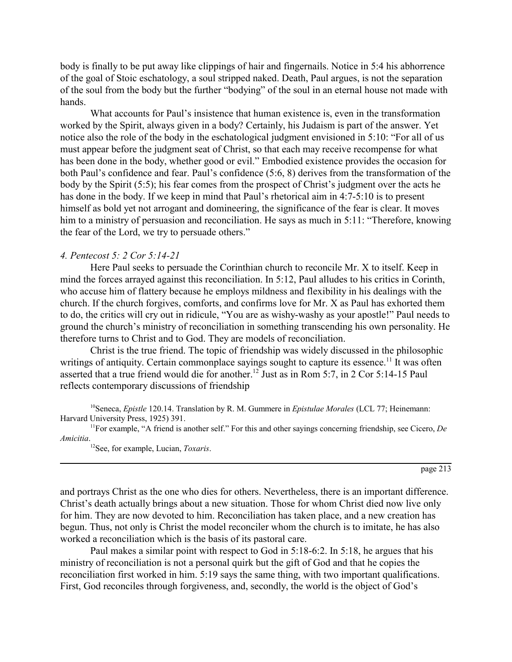body is finally to be put away like clippings of hair and fingernails. Notice in 5:4 his abhorrence of the goal of Stoic eschatology, a soul stripped naked. Death, Paul argues, is not the separation of the soul from the body but the further "bodying" of the soul in an eternal house not made with hands.

What accounts for Paul's insistence that human existence is, even in the transformation worked by the Spirit, always given in a body? Certainly, his Judaism is part of the answer. Yet notice also the role of the body in the eschatological judgment envisioned in 5:10: "For all of us must appear before the judgment seat of Christ, so that each may receive recompense for what has been done in the body, whether good or evil." Embodied existence provides the occasion for both Paul's confidence and fear. Paul's confidence (5:6, 8) derives from the transformation of the body by the Spirit (5:5); his fear comes from the prospect of Christ's judgment over the acts he has done in the body. If we keep in mind that Paul's rhetorical aim in 4:7-5:10 is to present himself as bold yet not arrogant and domineering, the significance of the fear is clear. It moves him to a ministry of persuasion and reconciliation. He says as much in 5:11: "Therefore, knowing the fear of the Lord, we try to persuade others."

#### *4. Pentecost 5: 2 Cor 5:14-21*

Here Paul seeks to persuade the Corinthian church to reconcile Mr. X to itself. Keep in mind the forces arrayed against this reconciliation. In 5:12, Paul alludes to his critics in Corinth, who accuse him of flattery because he employs mildness and flexibility in his dealings with the church. If the church forgives, comforts, and confirms love for Mr. X as Paul has exhorted them to do, the critics will cry out in ridicule, "You are as wishy-washy as your apostle!" Paul needs to ground the church's ministry of reconciliation in something transcending his own personality. He therefore turns to Christ and to God. They are models of reconciliation.

Christ is the true friend. The topic of friendship was widely discussed in the philosophic writings of antiquity. Certain commonplace sayings sought to capture its essence.<sup>11</sup> It was often asserted that a true friend would die for another.12 Just as in Rom 5:7, in 2 Cor 5:14-15 Paul reflects contemporary discussions of friendship

10Seneca, *Epistle* 120.14. Translation by R. M. Gummere in *Epistulae Morales* (LCL 77; Heinemann: Harvard University Press, 1925) 391.

11For example, "A friend is another self." For this and other sayings concerning friendship, see Cicero, *De Amicitia*.

12See, for example, Lucian, *Toxaris*.

page 213

and portrays Christ as the one who dies for others. Nevertheless, there is an important difference. Christ's death actually brings about a new situation. Those for whom Christ died now live only for him. They are now devoted to him. Reconciliation has taken place, and a new creation has begun. Thus, not only is Christ the model reconciler whom the church is to imitate, he has also worked a reconciliation which is the basis of its pastoral care.

Paul makes a similar point with respect to God in 5:18-6:2. In 5:18, he argues that his ministry of reconciliation is not a personal quirk but the gift of God and that he copies the reconciliation first worked in him. 5:19 says the same thing, with two important qualifications. First, God reconciles through forgiveness, and, secondly, the world is the object of God's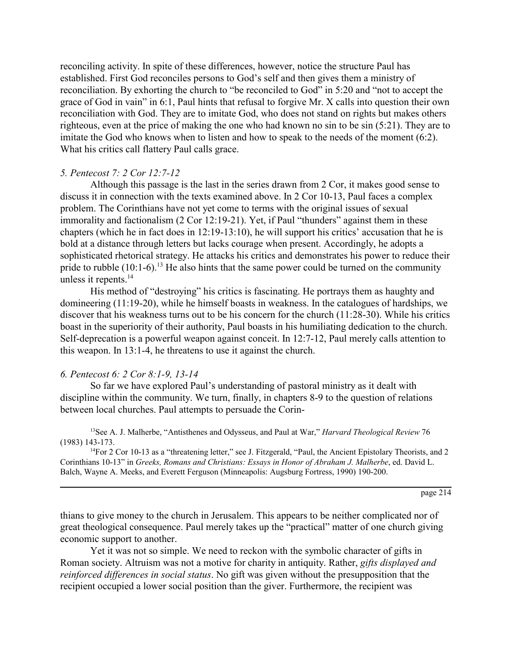reconciling activity. In spite of these differences, however, notice the structure Paul has established. First God reconciles persons to God's self and then gives them a ministry of reconciliation. By exhorting the church to "be reconciled to God" in 5:20 and "not to accept the grace of God in vain" in 6:1, Paul hints that refusal to forgive Mr. X calls into question their own reconciliation with God. They are to imitate God, who does not stand on rights but makes others righteous, even at the price of making the one who had known no sin to be sin (5:21). They are to imitate the God who knows when to listen and how to speak to the needs of the moment (6:2). What his critics call flattery Paul calls grace.

#### *5. Pentecost 7: 2 Cor 12:7-12*

Although this passage is the last in the series drawn from 2 Cor, it makes good sense to discuss it in connection with the texts examined above. In 2 Cor 10-13, Paul faces a complex problem. The Corinthians have not yet come to terms with the original issues of sexual immorality and factionalism (2 Cor 12:19-21). Yet, if Paul "thunders" against them in these chapters (which he in fact does in 12:19-13:10), he will support his critics' accusation that he is bold at a distance through letters but lacks courage when present. Accordingly, he adopts a sophisticated rhetorical strategy. He attacks his critics and demonstrates his power to reduce their pride to rubble  $(10:1-6)$ .<sup>13</sup> He also hints that the same power could be turned on the community unless it repents.<sup>14</sup>

His method of "destroying" his critics is fascinating. He portrays them as haughty and domineering (11:19-20), while he himself boasts in weakness. In the catalogues of hardships, we discover that his weakness turns out to be his concern for the church (11:28-30). While his critics boast in the superiority of their authority, Paul boasts in his humiliating dedication to the church. Self-deprecation is a powerful weapon against conceit. In 12:7-12, Paul merely calls attention to this weapon. In 13:1-4, he threatens to use it against the church.

## *6. Pentecost 6: 2 Cor 8:1-9, 13-14*

So far we have explored Paul's understanding of pastoral ministry as it dealt with discipline within the community. We turn, finally, in chapters 8-9 to the question of relations between local churches. Paul attempts to persuade the Corin-

13See A. J. Malherbe, "Antisthenes and Odysseus, and Paul at War," *Harvard Theological Review* 76 (1983) 143-173.

 $14$ For 2 Cor 10-13 as a "threatening letter," see J. Fitzgerald, "Paul, the Ancient Epistolary Theorists, and 2 Corinthians 10-13" in *Greeks, Romans and Christians: Essays in Honor of Abraham J. Malherbe*, ed. David L. Balch, Wayne A. Meeks, and Everett Ferguson (Minneapolis: Augsburg Fortress, 1990) 190-200.

page 214

thians to give money to the church in Jerusalem. This appears to be neither complicated nor of great theological consequence. Paul merely takes up the "practical" matter of one church giving economic support to another.

Yet it was not so simple. We need to reckon with the symbolic character of gifts in Roman society. Altruism was not a motive for charity in antiquity. Rather, *gifts displayed and reinforced differences in social status*. No gift was given without the presupposition that the recipient occupied a lower social position than the giver. Furthermore, the recipient was